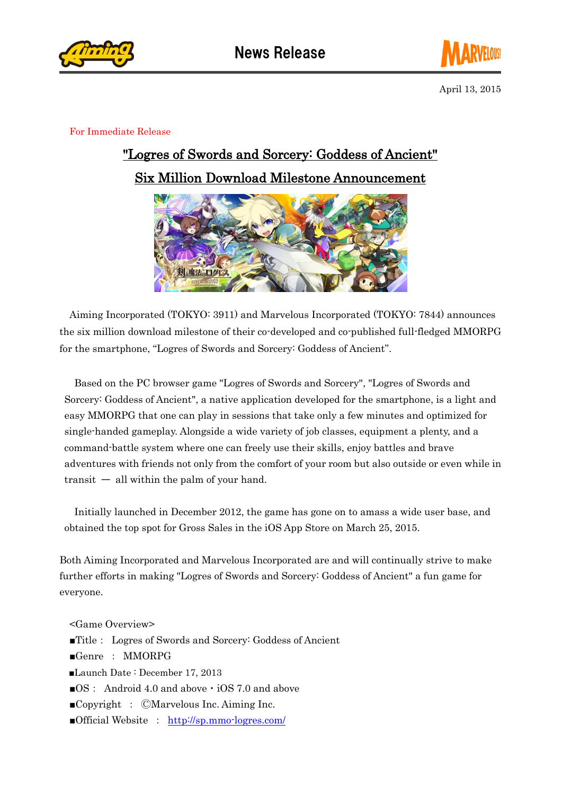



April 13, 2015

## For Immediate Release

## "Logres of Swords and Sorcery: Goddess of Ancient" Six Million Download Milestone Announcement



Aiming Incorporated (TOKYO: 3911) and Marvelous Incorporated (TOKYO: 7844) announces the six million download milestone of their co-developed and co-published full-fledged MMORPG for the smartphone, "Logres of Swords and Sorcery: Goddess of Ancient".

Based on the PC browser game "Logres of Swords and Sorcery", "Logres of Swords and Sorcery: Goddess of Ancient", a native application developed for the smartphone, is a light and easy MMORPG that one can play in sessions that take only a few minutes and optimized for single-handed gameplay. Alongside a wide variety of job classes, equipment a plenty, and a command-battle system where one can freely use their skills, enjoy battles and brave adventures with friends not only from the comfort of your room but also outside or even while in  $transit$   $\overline{\phantom{m}}$  all within the palm of your hand.

Initially launched in December 2012, the game has gone on to amass a wide user base, and obtained the top spot for Gross Sales in the iOS App Store on March 25, 2015.

Both Aiming Incorporated and Marvelous Incorporated are and will continually strive to make further efforts in making "Logres of Swords and Sorcery: Goddess of Ancient" a fun game for everyone.

<Game Overview>

- ■Title: Logres of Swords and Sorcery: Goddess of Ancient
- ■Genre : MMORPG
- ■Launch Date : December 17, 2013
- ■OS: Android 4.0 and above  $\cdot$  iOS 7.0 and above
- ■Copyright : ⒸMarvelous Inc. Aiming Inc.
- ■Official Website : <http://sp.mmo-logres.com/>